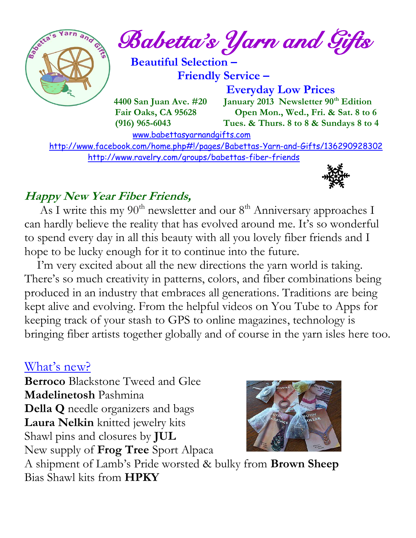

 <http://www.facebook.com/home.php#!/pages/Babettas-Yarn-and-Gifts/136290928302> <http://www.ravelry.com/groups/babettas-fiber-friends>



#### **Happy New Year Fiber Friends,**

As I write this my 90<sup>th</sup> newsletter and our 8<sup>th</sup> Anniversary approaches I can hardly believe the reality that has evolved around me. It's so wonderful to spend every day in all this beauty with all you lovely fiber friends and I hope to be lucky enough for it to continue into the future.

 I'm very excited about all the new directions the yarn world is taking. There's so much creativity in patterns, colors, and fiber combinations being produced in an industry that embraces all generations. Traditions are being kept alive and evolving. From the helpful videos on You Tube to Apps for keeping track of your stash to GPS to online magazines, technology is bringing fiber artists together globally and of course in the yarn isles here too.

## What's new?

**Berroco** Blackstone Tweed and Glee **Madelinetosh** Pashmina **Della Q** needle organizers and bags **Laura Nelkin** knitted jewelry kits Shawl pins and closures by **JUL** New supply of **Frog Tree** Sport Alpaca



A shipment of Lamb's Pride worsted & bulky from **Brown Sheep** Bias Shawl kits from **HPKY**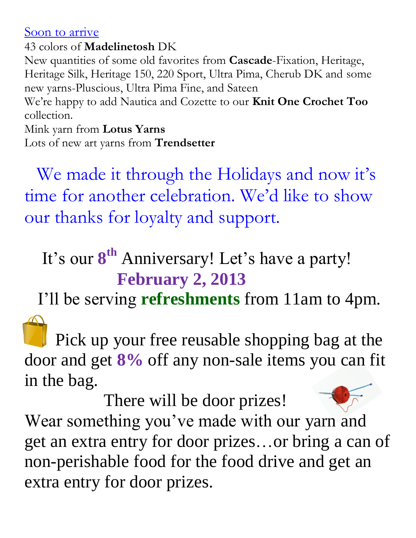#### Soon to arrive

43 colors of **Madelinetosh** DK

New quantities of some old favorites from **Cascade**-Fixation, Heritage, Heritage Silk, Heritage 150, 220 Sport, Ultra Pima, Cherub DK and some new yarns-Pluscious, Ultra Pima Fine, and Sateen

We're happy to add Nautica and Cozette to our **Knit One Crochet Too** collection.

#### Mink yarn from **Lotus Yarns**

Lots of new art yarns from **Trendsetter**

We made it through the Holidays and now it's time for another celebration. We'd like to show our thanks for loyalty and support.

## It's our  $8^{th}$  Anniversary! Let's have a party! **February 2, 2013**

I'll be serving **refreshments** from 11am to 4pm.

 Pick up your free reusable shopping bag at the door and get **8%** off any non-sale items you can fit in the bag.

 There will be door prizes! Wear something you've made with our yarn and get an extra entry for door prizes…or bring a can of non-perishable food for the food drive and get an extra entry for door prizes.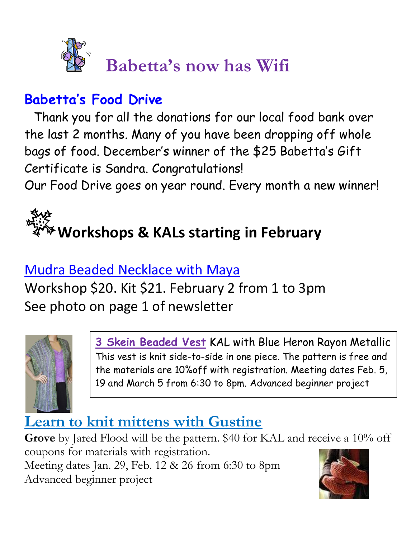

## **Babetta's Food Drive**

 Thank you for all the donations for our local food bank over the last 2 months. Many of you have been dropping off whole bags of food. December's winner of the \$25 Babetta's Gift Certificate is Sandra. Congratulations!

Our Food Drive goes on year round. Every month a new winner!

# **Workshops & KALs starting in February**

## Mudra Beaded Necklace with Maya

Workshop \$20. Kit \$21. February 2 from 1 to 3pm See photo on page 1 of newsletter



**3 Skein Beaded Vest** KAL with Blue Heron Rayon Metallic This vest is knit side-to-side in one piece. The pattern is free and the materials are 10%off with registration. Meeting dates Feb. 5, 19 and March 5 from 6:30 to 8pm. Advanced beginner project

## **Learn to knit mittens with Gustine**

**Grove** by Jared Flood will be the pattern. \$40 for KAL and receive a 10% off coupons for materials with registration. Meeting dates Jan. 29, Feb. 12 & 26 from 6:30 to 8pm Advanced beginner project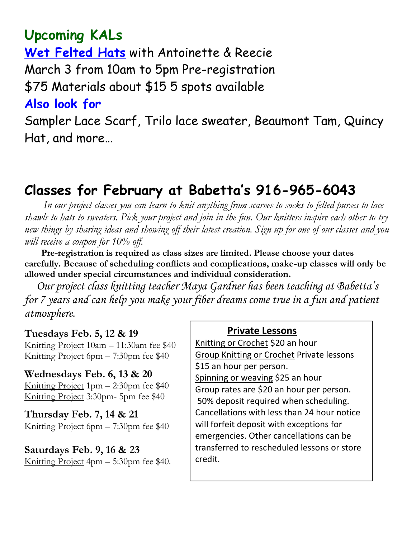## **Upcoming KALs**

**Wet Felted Hats** with Antoinette & Reecie March 3 from 10am to 5pm Pre-registration

\$75 Materials about \$15 5 spots available

#### **Also look for**

Sampler Lace Scarf, Trilo lace sweater, Beaumont Tam, Quincy Hat, and more…

## **Classes for February at Babetta's 916-965-6043**

 *In our project classes you can learn to knit anything from scarves to socks to felted purses to lace shawls to hats to sweaters. Pick your project and join in the fun. Our knitters inspire each other to try new things by sharing ideas and showing off their latest creation. Sign up for one of our classes and you will receive a coupon for 10% off.*

 **Pre-registration is required as class sizes are limited. Please choose your dates carefully. Because of scheduling conflicts and complications, make-up classes will only be allowed under special circumstances and individual consideration.**

*Our project class knitting teacher Maya Gardner has been teaching at Babetta's for 7 years and can help you make your fiber dreams come true in a fun and patient atmosphere.*

#### **Tuesdays Feb. 5, 12 & 19**

Knitting Project 10am – 11:30am fee \$40 Knitting Project 6pm – 7:30pm fee \$40

#### **Wednesdays Feb. 6, 13 & 20**

Knitting Project 1pm – 2:30pm fee \$40 Knitting Project 3:30pm- 5pm fee \$40

**Thursday Feb. 7, 14 & 21** Knitting Project 6pm – 7:30pm fee \$40

## **Saturdays Feb. 9, 16 & 23**

Knitting Project 4pm – 5:30pm fee \$40.

#### **Private Lessons**

Knitting or Crochet \$20 an hour Group Knitting or Crochet Private lessons \$15 an hour per person. Spinning or weaving \$25 an hour Group rates are \$20 an hour per person. 50% deposit required when scheduling. Cancellations with less than 24 hour notice will forfeit deposit with exceptions for emergencies. Other cancellations can be transferred to rescheduled lessons or store credit.